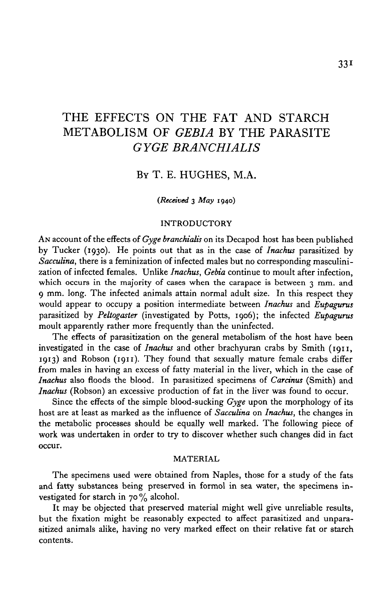# THE EFFECTS ON THE FAT AND STARCH METABOLISM OF *GEBIA* BY THE PARASITE *GYGE BRANCHIALIS*

### BY T. E. HUGHES, M.A.

#### *(Received* 3 *May* 1940)

#### INTRODUCTORY

AN account of the effects of *Gyge branchialis* on its Decapod host has been published by Tucker (1930). He points out that as in the case of *Inachus* parasitized by *Sacculina,* there is a feminization of infected males but no corresponding masculinization of infected females. Unlike *Inachus, Gebia* continue to moult after infection, which occurs in the majority of cases when the carapace is between 3 mm. and 9 mm. long. The infected animals attain normal adult size. In this respect they would appear to occupy a position intermediate between *Inachus* and *Eupagurus* parasitized by *Peliogaster* (investigated by Potts, 1906); the infected *Eupagurus* moult apparently rather more frequently than the uninfected.

The effects of parasitization on the general metabolism of the host have been investigated in the case of *Inachus* and other brachyuran crabs by Smith (1911, 1913) and Robson (1911). They found that sexually mature female crabs differ from males in having an excess of fatty material in the liver, which in the case of *Inachus* also floods the blood. In parasitized specimens of *Carcinus* (Smith) and *Inachus* (Robson) an excessive production of fat in the liver was found to occur.

Since the effects of the simple blood-sucking *Gyge* upon the morphology of its host are at least as marked as the influence of *Sacculina* on *Inachus,* the changes in the metabolic processes should be equally well marked. The following piece of work was undertaken in order to try to discover whether such changes did in fact occur.

#### MATERIAL

The specimens used were obtained from Naples, those for a study of the fats and fatty substances being preserved in formol in sea water, the specimens investigated for starch in  $70\%$  alcohol.

It may be objected that preserved material might well give unreliable results, but the fixation might be reasonably expected to affect parasitized and unparasitized animals alike, having no very marked effect on their relative fat or starch contents.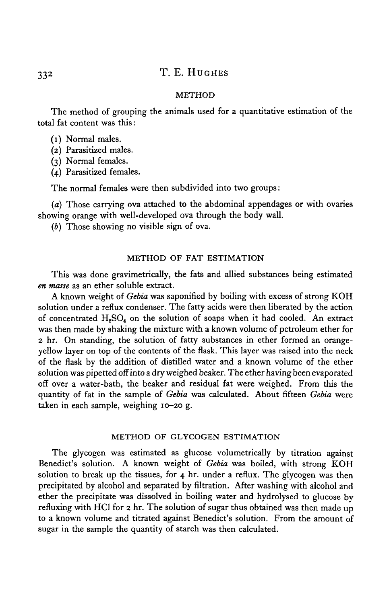## 332 T. E. HUGHES

#### METHOD

The method of grouping the animals used for a quantitative estimation of the total fat content was this:

(1) Normal males.

(2) Parasitized males.

(3) Normal females.

(4) Parasitized females.

The normal females were then subdivided into two groups:

*(a)* Those carrying ova attached to the abdominal appendages or with ovaries showing orange with well-developed ova through the body wall.

*(b)* Those showing no visible sign of ova.

### METHOD OF FAT ESTIMATION

This was done gravimetrically, the fats and allied substances being estimated *en masse* as an ether soluble extract.

A known weight of *Gebia* was saponified by boiling with excess of strong KOH solution under a reflux condenser. The fatty acids were then liberated by the action of concentrated  $H_2SO_4$  on the solution of soaps when it had cooled. An extract was then made by shaking the mixture with a known volume of petroleum ether for 2 hr. On standing, the solution of fatty substances in ether formed an orangeyellow layer on top of the contents of the flask. This layer was raised into the neck of the flask by the addition of distilled water and a known volume of the ether solution was pipetted off into a dry weighed beaker. The ether having been evaporated off over a water-bath, the beaker and residual fat were weighed. From this the quantity of fat in the sample of *Gebia* was calculated. About fifteen *Gebia* were taken in each sample, weighing 10-20 g.

### METHOD OF GLYCOGEN ESTIMATION

The glycogen was estimated as glucose volumetrically by titration against Benedict's solution. A known weight of *Gebia* was boiled, with strong KOH solution to break up the tissues, for 4 hr. under a reflux. The glycogen was then precipitated by alcohol and separated by filtration. After washing with alcohol and ether the precipitate was dissolved in boiling water and hydrolysed to glucose by refluxing with HCl for 2 hr. The solution of sugar thus obtained was then made up to a known volume and titrated against Benedict's solution. From the amount of sugar in the sample the quantity of starch was then calculated.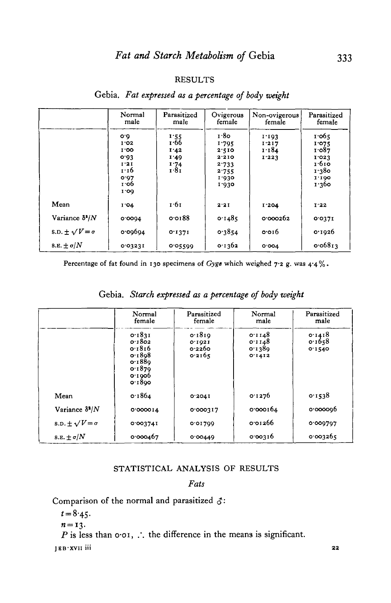### RESULTS

|                              | Normal<br>male                                                      | Parasitized<br>male                          | Ovigerous<br>female                                                 | Non-ovigerous<br>female          | Parasitized<br>female                                                |
|------------------------------|---------------------------------------------------------------------|----------------------------------------------|---------------------------------------------------------------------|----------------------------------|----------------------------------------------------------------------|
|                              | O.0<br>1'02<br>1.00<br>0.03<br>1'21<br>1.16<br>0.07<br>т об<br>1.00 | 1:55<br>1.66<br>1.42<br>1.49<br>1.74<br>1.81 | 1.80<br>1.795<br>2.510<br>2.210<br>2.733<br>2.755<br>1.930<br>1.030 | 1.103<br>1.217<br>1.184<br>1.223 | 1.065<br>1.075<br>1.087<br>1.023<br>1.610<br>1.380<br>1.100<br>1.360 |
| Mean                         | I'04                                                                | 1.61                                         | 2.21                                                                | I.204                            | 1'22                                                                 |
| Variance $\delta^2/N$        | 0.0004                                                              | 0.0188                                       | 0.1485                                                              | 0.000262                         | 0.0371                                                               |
| s.p. $\pm \sqrt{V} = \sigma$ | 0.00004                                                             | 0.1371                                       | 0.3854                                                              | 0.016                            | 0.1926                                                               |
| 8.E. $\pm \sigma/N$          | 0.03231                                                             | 0.05599                                      | 0.1362                                                              | 0.004                            | 0.06813                                                              |

### Gebia. *Fat expressed as a percentage of body weight*

Percentage of fat found in 130 specimens of *Gyge* which weighed 7-2 g. was 4-4%.

|                              | Normal<br>female                                                             | Parasitized<br>female                | Normal<br>male                       | Parasitized<br>male        |
|------------------------------|------------------------------------------------------------------------------|--------------------------------------|--------------------------------------|----------------------------|
|                              | 0.1831<br>0.1802<br>0.1816<br>0.1808<br>0.1880<br>0.1870<br>0.1000<br>0.1800 | 0.1810<br>0.1021<br>0.2260<br>0.2165 | 0.1148<br>0.1148<br>0.1380<br>0.1412 | 0.1418<br>0.1658<br>0.1540 |
| Mean                         | 0.1864                                                                       | 0.2041                               | 0.1276                               | 0.1538                     |
| Variance $\delta^2/N$        | 0'000014                                                                     | 0'000317                             | 0.000164                             | 0.0000006                  |
| s.p. $\pm \sqrt{V} = \sigma$ | 0.003741                                                                     | 0.01709                              | 0.01266                              | 0'009797                   |
| S.E. $\pm \sigma/N$          | 0.000467                                                                     | 0.00449                              | 0.00316                              | 0.003265                   |

## Gebia. *Starch expressed as a percentage of body weight*

### STATISTICAL ANALYSIS OF RESULTS

### *Fats*

Comparison of the normal and parasitized *<\$:*

 $t = 8.45$ .

$$
n=13.
$$

*P* is less than  $o \cdot o \cdot$ , ... the difference in the means is significant.

JEB-XVII iii 22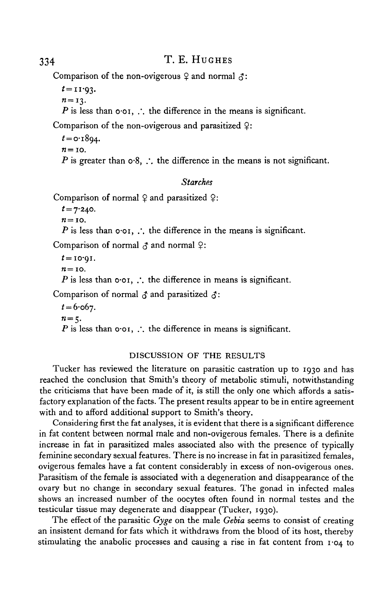## 334 T. E. HUGHES

Comparison of the non-ovigerous  $\varphi$  and normal  $\varphi$ :

 $t=11.93$ .

 $n=13$ .

*P* is less than  $o \cdot o \cdot$ .  $\therefore$  the difference in the means is significant.

Comparison of the non-ovigerous and parasitized  $\varphi$ :

```
t = o.1804.
n=10.
P is greater than \circ 8, \therefore the difference in the means is not significant.
```
### *Starches*

```
Comparison of normal \varphi and parasitized \varphi:
```
*t=*7-240.  $n=10$ .

*P* is less than  $\phi$  or, ... the difference in the means is significant.

Comparison of normal  $\beta$  and normal  $\varphi$ :

*t=* **10-91.**  $n=$  10. *P* is less than  $o \cdot o \cdot r$ ,  $\therefore$  the difference in means is significant.

Comparison of normal  $\beta$  and parasitized  $\beta$ :

```
t = 6.067.
n=5.
P is less than o \cdot o \in I, ... the difference in means is significant.
```
### DISCUSSION OF THE RESULTS

Tucker has reviewed the literature on parasitic castration up to 1930 and has reached the conclusion that Smith's theory of metabolic stimuli, notwithstanding the criticisms that have been made of it, is still the only one which affords a satisfactory explanation of the facts. The present results appear to be in entire agreement with and to afford additional support to Smith's theory.

Considering first the fat analyses, it is evident that there is a significant difference in fat content between normal male and non-ovigerous females. There is a definite increase in fat in parasitized males associated also with the presence of typically feminine secondary sexual features. There is no increase in fat in parasitized females, ovigerous females have a fat content considerably in excess of non-ovigerous ones. Parasitism of the female is associated with a degeneration and disappearance of the ovary but no change in secondary sexual features. The gonad in infected males shows an increased number of the oocytes often found in normal testes and the testicular tissue may degenerate and disappear (Tucker, 1930).

The effect of the parasitic *Gyge* on the male *Gebia* seems to consist of creating an insistent demand for fats which it withdraws from the blood of its host, thereby stimulating the anabolic processes and causing a rise in fat content from 1-04 to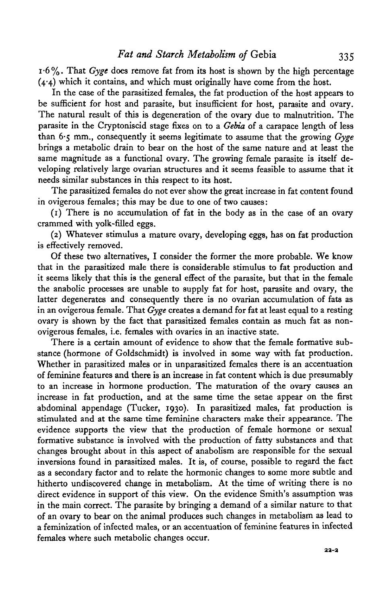i-6%. That *Gyge* does remove fat from its host is shown by the high percentage (4-4) which it contains, and which must originally have come from the host.

In the case of the parasitized females, the fat production of the host appears to be sufficient for host and parasite, but insufficient for host, parasite and ovary. The natural result of this is degeneration of the ovary due to malnutrition. The parasite in the Cryptoniscid stage fixes on to a *Gebia* of a carapace length of less than 6-5 mm., consequently it seems legitimate to assume that the growing *Gyge* brings a metabolic drain to bear on the host of the same nature and at least the same magnitude as a functional ovary. The growing female parasite is itself developing relatively large ovarian structures and it seems feasible to assume that it needs similar substances in this respect to its host.

The parasitized females do not ever show the great increase in fat content found in ovigerous females; this may be due to one of two causes:

(1) There is no accumulation of fat in the body as in the case of an ovary crammed with yolk-filled eggs.

(2) Whatever stimulus a mature ovary, developing eggs, has on fat production is effectively removed.

Of these two alternatives, I consider the former the more probable. We know that in the parasitized male there is considerable stimulus to fat production and it seems likely that this is the general effect of the parasite, but that in the female the anabolic processes are unable to supply fat for host, parasite and ovary, the latter degenerates and consequently there is no ovarian accumulation of fats as in an ovigerous female. That *Gyge* creates a demand for fat at least equal to a resting ovary is shown by the fact that parasitized females contain as much fat as nonovigerous females, i.e. females with ovaries in an inactive state.

There is a certain amount of evidence to show that the female formative substance (hormone of Goldschmidt) is involved in some way with fat production. Whether in parasitized males or in unparasitized females there is an accentuation of feminine features and there is an increase in fat content which is due presumably to an increase in hormone production. The maturation of the ovary causes an increase in fat production, and at the same time the setae appear on the first abdominal appendage (Tucker, 1930). In parasitized males, fat production is stimulated and at the same time feminine characters make their appearance. The evidence supports the view that the production of female hormone or sexual formative substance is involved with the production of fatty substances and that changes brought about in this aspect of anabolism are responsible for the sexual inversions found in parasitized males. It is, of course, possible to regard the fact as a secondary factor and to relate the hormonic changes to some more subtle and hitherto undiscovered change in metabolism. At the time of writing there is no direct evidence in support of this view. On the evidence Smith's assumption was in the main correct. The parasite by bringing a demand of a similar nature to that of an ovary to bear on the animal produces such changes in metabolism as lead to a feminization of infected males, or an accentuation of feminine features in infected females where such metabolic changes occur.